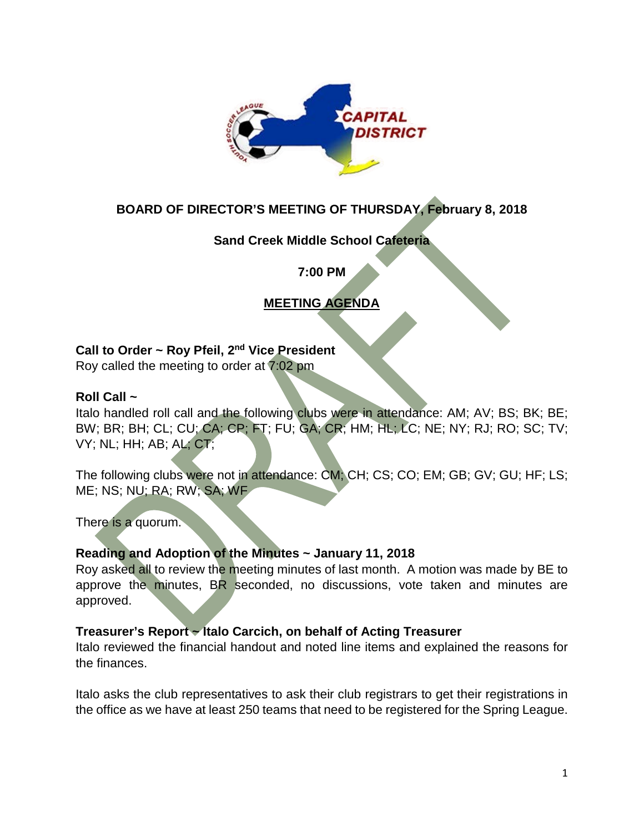

# **BOARD OF DIRECTOR'S MEETING OF THURSDAY, February 8, 2018**

# **Sand Creek Middle School Cafeteria**

**7:00 PM**

# **MEETING AGENDA**

## **Call to Order ~ Roy Pfeil, 2nd Vice President**

Roy called the meeting to order at 7:02 pm

### **Roll Call ~**

Italo handled roll call and the following clubs were in attendance: AM; AV; BS; BK; BE; BW; BR; BH; CL; CU; CA; CP; FT; FU; GA; CR; HM; HL; LC; NE; NY; RJ; RO; SC; TV; VY; NL; HH; AB; AL; CT;

The following clubs were not in attendance: CM; CH; CS; CO; EM; GB; GV; GU; HF; LS; ME; NS; NU; RA; RW; SA; WF

There is a quorum.

## **Reading and Adoption of the Minutes ~ January 11, 2018**

Roy asked all to review the meeting minutes of last month. A motion was made by BE to approve the minutes, BR seconded, no discussions, vote taken and minutes are approved.

## **Treasurer's Report ~ Italo Carcich, on behalf of Acting Treasurer**

Italo reviewed the financial handout and noted line items and explained the reasons for the finances.

Italo asks the club representatives to ask their club registrars to get their registrations in the office as we have at least 250 teams that need to be registered for the Spring League.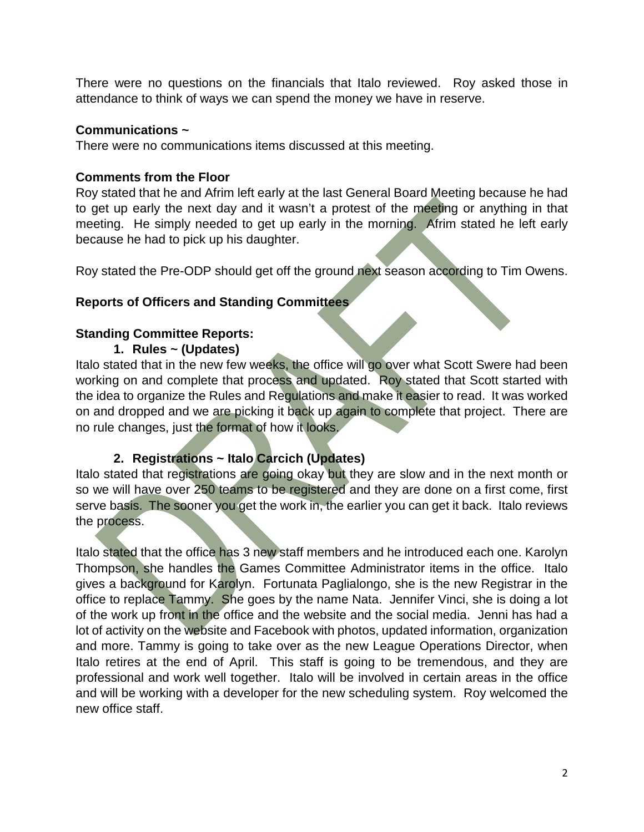There were no questions on the financials that Italo reviewed. Roy asked those in attendance to think of ways we can spend the money we have in reserve.

### **Communications ~**

There were no communications items discussed at this meeting.

## **Comments from the Floor**

Roy stated that he and Afrim left early at the last General Board Meeting because he had to get up early the next day and it wasn't a protest of the meeting or anything in that meeting. He simply needed to get up early in the morning. Afrim stated he left early because he had to pick up his daughter.

Roy stated the Pre-ODP should get off the ground next season according to Tim Owens.

## **Reports of Officers and Standing Committees**

## **Standing Committee Reports:**

**1. Rules ~ (Updates)**

Italo stated that in the new few weeks, the office will go over what Scott Swere had been working on and complete that process and updated. Roy stated that Scott started with the idea to organize the Rules and Regulations and make it easier to read. It was worked on and dropped and we are picking it back up again to complete that project. There are no rule changes, just the format of how it looks.

## **2. Registrations ~ Italo Carcich (Updates)**

Italo stated that registrations are going okay but they are slow and in the next month or so we will have over 250 teams to be registered and they are done on a first come, first serve basis. The sooner you get the work in, the earlier you can get it back. Italo reviews the process.

Italo stated that the office has 3 new staff members and he introduced each one. Karolyn Thompson, she handles the Games Committee Administrator items in the office. Italo gives a background for Karolyn. Fortunata Paglialongo, she is the new Registrar in the office to replace Tammy. She goes by the name Nata. Jennifer Vinci, she is doing a lot of the work up front in the office and the website and the social media. Jenni has had a lot of activity on the website and Facebook with photos, updated information, organization and more. Tammy is going to take over as the new League Operations Director, when Italo retires at the end of April. This staff is going to be tremendous, and they are professional and work well together. Italo will be involved in certain areas in the office and will be working with a developer for the new scheduling system. Roy welcomed the new office staff.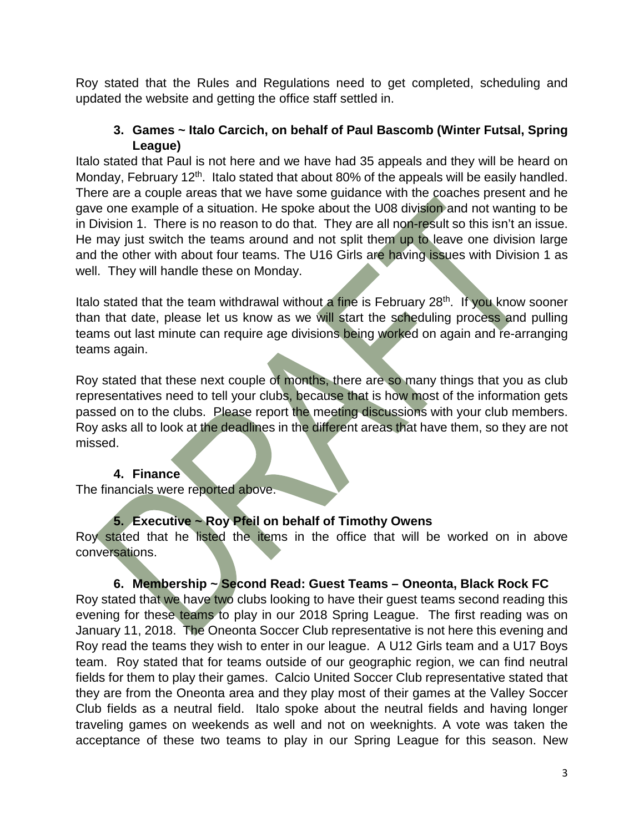Roy stated that the Rules and Regulations need to get completed, scheduling and updated the website and getting the office staff settled in.

## **3. Games ~ Italo Carcich, on behalf of Paul Bascomb (Winter Futsal, Spring League)**

Italo stated that Paul is not here and we have had 35 appeals and they will be heard on Monday, February 12<sup>th</sup>. Italo stated that about 80% of the appeals will be easily handled. There are a couple areas that we have some guidance with the coaches present and he gave one example of a situation. He spoke about the U08 division and not wanting to be in Division 1. There is no reason to do that. They are all non-result so this isn't an issue. He may just switch the teams around and not split them up to leave one division large and the other with about four teams. The U16 Girls are having issues with Division 1 as well. They will handle these on Monday.

Italo stated that the team withdrawal without a fine is February  $28<sup>th</sup>$ . If you know sooner than that date, please let us know as we will start the scheduling process and pulling teams out last minute can require age divisions being worked on again and re-arranging teams again.

Roy stated that these next couple of months, there are so many things that you as club representatives need to tell your clubs, because that is how most of the information gets passed on to the clubs. Please report the meeting discussions with your club members. Roy asks all to look at the deadlines in the different areas that have them, so they are not missed.

## **4. Finance**

The financials were reported above.

# **5. Executive ~ Roy Pfeil on behalf of Timothy Owens**

Roy stated that he listed the items in the office that will be worked on in above conversations.

# **6. Membership ~ Second Read: Guest Teams – Oneonta, Black Rock FC**

Roy stated that we have two clubs looking to have their guest teams second reading this evening for these teams to play in our 2018 Spring League. The first reading was on January 11, 2018. The Oneonta Soccer Club representative is not here this evening and Roy read the teams they wish to enter in our league. A U12 Girls team and a U17 Boys team. Roy stated that for teams outside of our geographic region, we can find neutral fields for them to play their games. Calcio United Soccer Club representative stated that they are from the Oneonta area and they play most of their games at the Valley Soccer Club fields as a neutral field. Italo spoke about the neutral fields and having longer traveling games on weekends as well and not on weeknights. A vote was taken the acceptance of these two teams to play in our Spring League for this season. New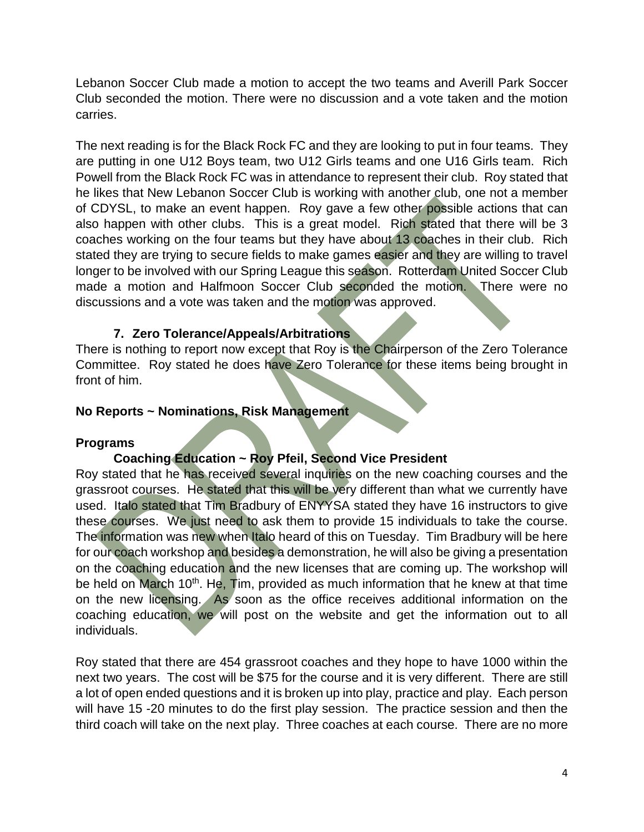Lebanon Soccer Club made a motion to accept the two teams and Averill Park Soccer Club seconded the motion. There were no discussion and a vote taken and the motion carries.

The next reading is for the Black Rock FC and they are looking to put in four teams. They are putting in one U12 Boys team, two U12 Girls teams and one U16 Girls team. Rich Powell from the Black Rock FC was in attendance to represent their club. Roy stated that he likes that New Lebanon Soccer Club is working with another club, one not a member of CDYSL, to make an event happen. Roy gave a few other possible actions that can also happen with other clubs. This is a great model. Rich stated that there will be 3 coaches working on the four teams but they have about 13 coaches in their club. Rich stated they are trying to secure fields to make games easier and they are willing to travel longer to be involved with our Spring League this season. Rotterdam United Soccer Club made a motion and Halfmoon Soccer Club seconded the motion. There were no discussions and a vote was taken and the motion was approved.

### **7. Zero Tolerance/Appeals/Arbitrations**

There is nothing to report now except that Roy is the Chairperson of the Zero Tolerance Committee. Roy stated he does have Zero Tolerance for these items being brought in front of him.

#### **No Reports ~ Nominations, Risk Management**

#### **Programs**

#### **Coaching Education ~ Roy Pfeil, Second Vice President**

Roy stated that he has received several inquiries on the new coaching courses and the grassroot courses. He stated that this will be very different than what we currently have used. Italo stated that Tim Bradbury of ENYYSA stated they have 16 instructors to give these courses. We just need to ask them to provide 15 individuals to take the course. The information was new when Italo heard of this on Tuesday. Tim Bradbury will be here for our coach workshop and besides a demonstration, he will also be giving a presentation on the coaching education and the new licenses that are coming up. The workshop will be held on March 10<sup>th</sup>. He,  $\overline{T}$ im, provided as much information that he knew at that time on the new licensing. As soon as the office receives additional information on the coaching education, we will post on the website and get the information out to all individuals.

Roy stated that there are 454 grassroot coaches and they hope to have 1000 within the next two years. The cost will be \$75 for the course and it is very different. There are still a lot of open ended questions and it is broken up into play, practice and play. Each person will have 15 -20 minutes to do the first play session. The practice session and then the third coach will take on the next play. Three coaches at each course. There are no more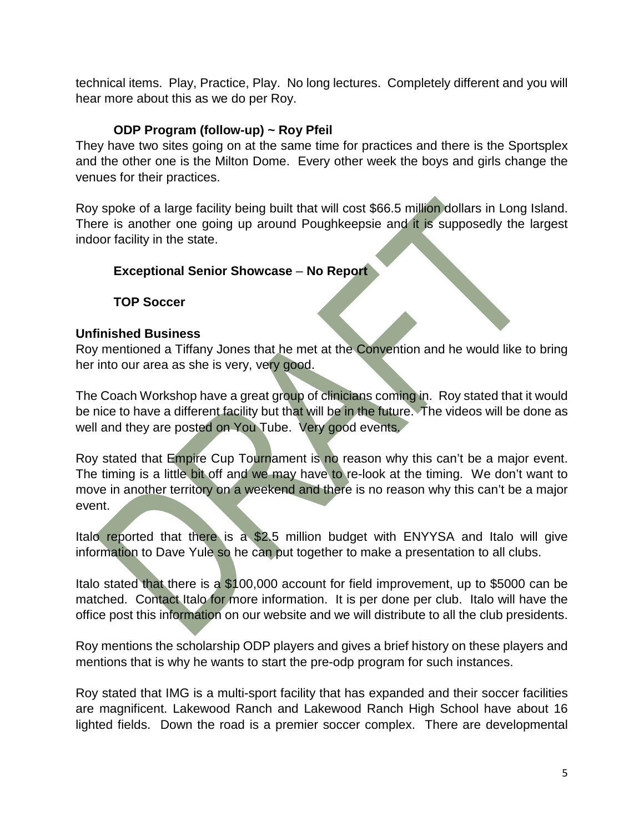technical items. Play, Practice, Play. No long lectures. Completely different and you will hear more about this as we do per Roy.

# **ODP Program (follow-up) ~ Roy Pfeil**

They have two sites going on at the same time for practices and there is the Sportsplex and the other one is the Milton Dome. Every other week the boys and girls change the venues for their practices.

Roy spoke of a large facility being built that will cost \$66.5 million dollars in Long Island. There is another one going up around Poughkeepsie and it is supposedly the largest indoor facility in the state.

# **Exceptional Senior Showcase** – **No Report**

# **TOP Soccer**

## **Unfinished Business**

Roy mentioned a Tiffany Jones that he met at the Convention and he would like to bring her into our area as she is very, very good.

The Coach Workshop have a great group of clinicians coming in. Roy stated that it would be nice to have a different facility but that will be in the future. The videos will be done as well and they are posted on You Tube. Very good events.

Roy stated that Empire Cup Tournament is no reason why this can't be a major event. The timing is a little bit off and we may have to re-look at the timing. We don't want to move in another territory on a weekend and there is no reason why this can't be a major event.

Italo reported that there is a \$2.5 million budget with ENYYSA and Italo will give information to Dave Yule so he can put together to make a presentation to all clubs.

Italo stated that there is a \$100,000 account for field improvement, up to \$5000 can be matched. Contact Italo for more information. It is per done per club. Italo will have the office post this information on our website and we will distribute to all the club presidents.

Roy mentions the scholarship ODP players and gives a brief history on these players and mentions that is why he wants to start the pre-odp program for such instances.

Roy stated that IMG is a multi-sport facility that has expanded and their soccer facilities are magnificent. Lakewood Ranch and Lakewood Ranch High School have about 16 lighted fields. Down the road is a premier soccer complex. There are developmental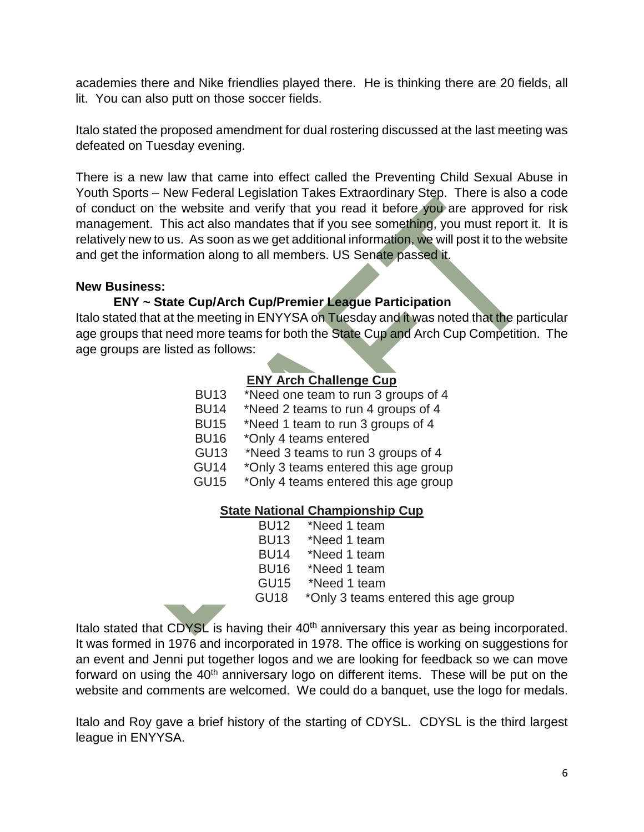academies there and Nike friendlies played there. He is thinking there are 20 fields, all lit. You can also putt on those soccer fields.

Italo stated the proposed amendment for dual rostering discussed at the last meeting was defeated on Tuesday evening.

There is a new law that came into effect called the Preventing Child Sexual Abuse in Youth Sports – New Federal Legislation Takes Extraordinary Step. There is also a code of conduct on the website and verify that you read it before you are approved for risk management. This act also mandates that if you see something, you must report it. It is relatively new to us. As soon as we get additional information, we will post it to the website and get the information along to all members. US Senate passed it.

#### **New Business:**

### **ENY ~ State Cup/Arch Cup/Premier League Participation**

Italo stated that at the meeting in ENYYSA on Tuesday and it was noted that the particular age groups that need more teams for both the State Cup and Arch Cup Competition. The age groups are listed as follows:

# **ENY Arch Challenge Cup**

- BU13 \*Need one team to run 3 groups of 4
- BU14 \*Need 2 teams to run 4 groups of 4
- BU15 \*Need 1 team to run 3 groups of 4<br>BU16 \*Only 4 teams entered
- \*Only 4 teams entered
- GU13 \*Need 3 teams to run 3 groups of 4
- GU14 \*Only 3 teams entered this age group
- GU15 \*Only 4 teams entered this age group

#### **State National Championship Cup**

BU12 \*Need 1 team<br>BU13 \*Need 1 team \*Need 1 team BU14 \*Need 1 team BU16 \*Need 1 team GU15 \*Need 1 team GU18 \*Only 3 teams entered this age group

Italo stated that CDYSL is having their 40<sup>th</sup> anniversary this year as being incorporated. It was formed in 1976 and incorporated in 1978. The office is working on suggestions for an event and Jenni put together logos and we are looking for feedback so we can move forward on using the 40<sup>th</sup> anniversary logo on different items. These will be put on the website and comments are welcomed. We could do a banquet, use the logo for medals.

Italo and Roy gave a brief history of the starting of CDYSL. CDYSL is the third largest league in ENYYSA.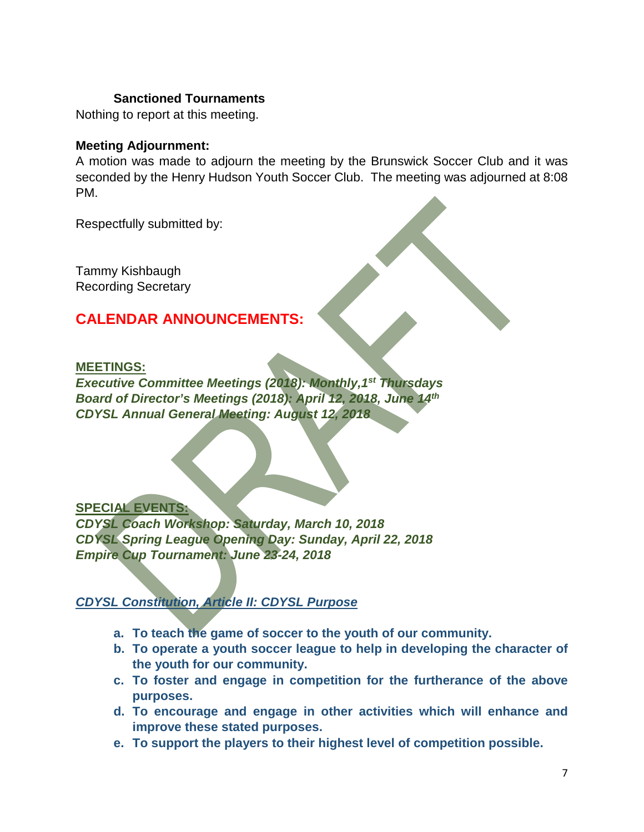#### **Sanctioned Tournaments**

Nothing to report at this meeting.

#### **Meeting Adjournment:**

A motion was made to adjourn the meeting by the Brunswick Soccer Club and it was seconded by the Henry Hudson Youth Soccer Club. The meeting was adjourned at 8:08 PM.

Respectfully submitted by:

Tammy Kishbaugh Recording Secretary

# **CALENDAR ANNOUNCEMENTS:**

#### **MEETINGS:**

*Executive Committee Meetings (2018): Monthly,1st Thursdays Board of Director's Meetings (2018): April 12, 2018, June 14th CDYSL Annual General Meeting: August 12, 2018*

#### **SPECIAL EVENTS:**

*CDYSL Coach Workshop: Saturday, March 10, 2018 CDYSL Spring League Opening Day: Sunday, April 22, 2018 Empire Cup Tournament: June 23-24, 2018*

# *CDYSL Constitution, Article II: CDYSL Purpose*

- **a. To teach the game of soccer to the youth of our community.**
- **b. To operate a youth soccer league to help in developing the character of the youth for our community.**
- **c. To foster and engage in competition for the furtherance of the above purposes.**
- **d. To encourage and engage in other activities which will enhance and improve these stated purposes.**
- **e. To support the players to their highest level of competition possible.**